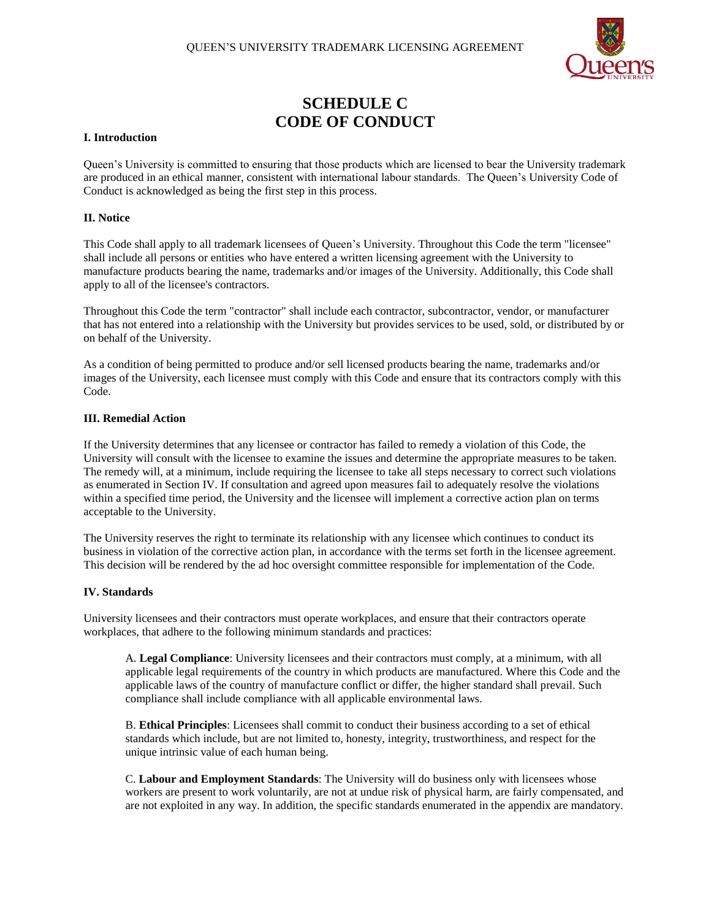

# **SCHEDULE C CODE OF CONDUCT**

#### **I. Introduction**

Queen's University is committed to ensuring that those products which are licensed to bear the University trademark are produced in an ethical manner, consistent with international labour standards. The Queen's University Code of Conduct is acknowledged as being the first step in this process.

### **II. Notice**

This Code shall apply to all trademark licensees of Queen's University. Throughout this Code the term "licensee" shall include all persons or entities who have entered a written licensing agreement with the University to manufacture products bearing the name, trademarks and/or images of the University. Additionally, this Code shall apply to all of the licensee's contractors.

Throughout this Code the term "contractor" shall include each contractor, subcontractor, vendor, or manufacturer that has not entered into a relationship with the University but provides services to be used, sold, or distributed by or on behalf of the University.

As a condition of being permitted to produce and/or sell licensed products bearing the name, trademarks and/or images of the University, each licensee must comply with this Code and ensure that its contractors comply with this Code.

#### **III. Remedial Action**

If the University determines that any licensee or contractor has failed to remedy a violation of this Code, the University will consult with the licensee to examine the issues and determine the appropriate measures to be taken. The remedy will, at a minimum, include requiring the licensee to take all steps necessary to correct such violations as enumerated in Section IV. If consultation and agreed upon measures fail to adequately resolve the violations within a specified time period, the University and the licensee will implement a corrective action plan on terms acceptable to the University.

The University reserves the right to terminate its relationship with any licensee which continues to conduct its business in violation of the corrective action plan, in accordance with the terms set forth in the licensee agreement. This decision will be rendered by the ad hoc oversight committee responsible for implementation of the Code.

# **IV. Standards**

University licensees and their contractors must operate workplaces, and ensure that their contractors operate workplaces, that adhere to the following minimum standards and practices:

A. **Legal Compliance**: University licensees and their contractors must comply, at a minimum, with all applicable legal requirements of the country in which products are manufactured. Where this Code and the applicable laws of the country of manufacture conflict or differ, the higher standard shall prevail. Such compliance shall include compliance with all applicable environmental laws.

B. **Ethical Principles**: Licensees shall commit to conduct their business according to a set of ethical standards which include, but are not limited to, honesty, integrity, trustworthiness, and respect for the unique intrinsic value of each human being.

C. **Labour and Employment Standards**: The University will do business only with licensees whose workers are present to work voluntarily, are not at undue risk of physical harm, are fairly compensated, and are not exploited in any way. In addition, the specific standards enumerated in the appendix are mandatory.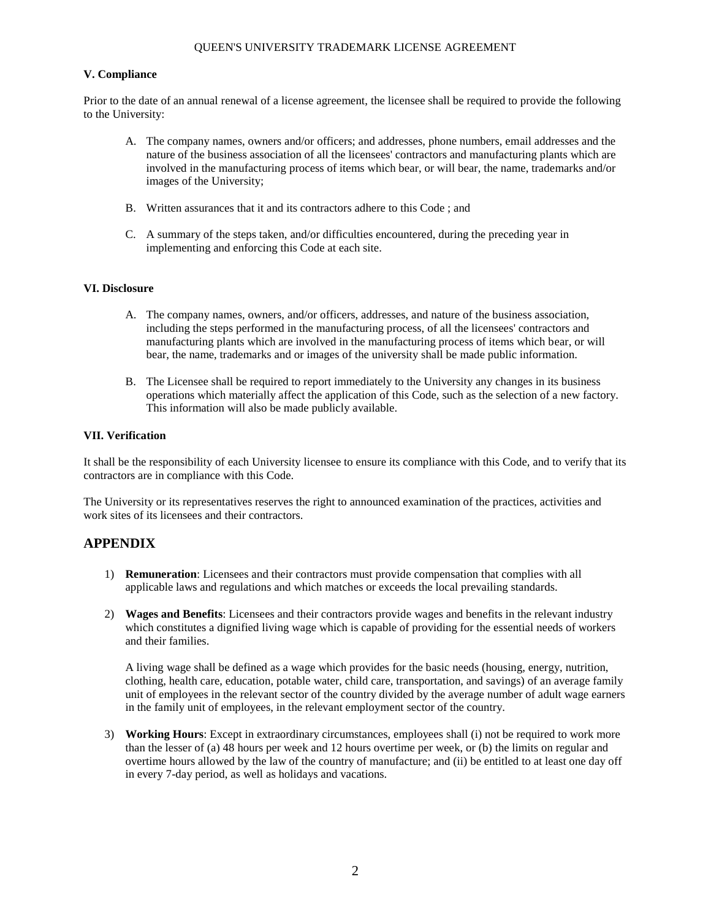# QUEEN'S UNIVERSITY TRADEMARK LICENSE AGREEMENT

#### **V. Compliance**

Prior to the date of an annual renewal of a license agreement, the licensee shall be required to provide the following to the University:

- A. The company names, owners and/or officers; and addresses, phone numbers, email addresses and the nature of the business association of all the licensees' contractors and manufacturing plants which are involved in the manufacturing process of items which bear, or will bear, the name, trademarks and/or images of the University;
- B. Written assurances that it and its contractors adhere to this Code ; and
- C. A summary of the steps taken, and/or difficulties encountered, during the preceding year in implementing and enforcing this Code at each site.

#### **VI. Disclosure**

- A. The company names, owners, and/or officers, addresses, and nature of the business association, including the steps performed in the manufacturing process, of all the licensees' contractors and manufacturing plants which are involved in the manufacturing process of items which bear, or will bear, the name, trademarks and or images of the university shall be made public information.
- B. The Licensee shall be required to report immediately to the University any changes in its business operations which materially affect the application of this Code, such as the selection of a new factory. This information will also be made publicly available.

#### **VII. Verification**

It shall be the responsibility of each University licensee to ensure its compliance with this Code, and to verify that its contractors are in compliance with this Code.

The University or its representatives reserves the right to announced examination of the practices, activities and work sites of its licensees and their contractors.

# **APPENDIX**

- 1) **Remuneration**: Licensees and their contractors must provide compensation that complies with all applicable laws and regulations and which matches or exceeds the local prevailing standards.
- 2) **Wages and Benefits**: Licensees and their contractors provide wages and benefits in the relevant industry which constitutes a dignified living wage which is capable of providing for the essential needs of workers and their families.

A living wage shall be defined as a wage which provides for the basic needs (housing, energy, nutrition, clothing, health care, education, potable water, child care, transportation, and savings) of an average family unit of employees in the relevant sector of the country divided by the average number of adult wage earners in the family unit of employees, in the relevant employment sector of the country.

3) **Working Hours**: Except in extraordinary circumstances, employees shall (i) not be required to work more than the lesser of (a) 48 hours per week and 12 hours overtime per week, or (b) the limits on regular and overtime hours allowed by the law of the country of manufacture; and (ii) be entitled to at least one day off in every 7-day period, as well as holidays and vacations.